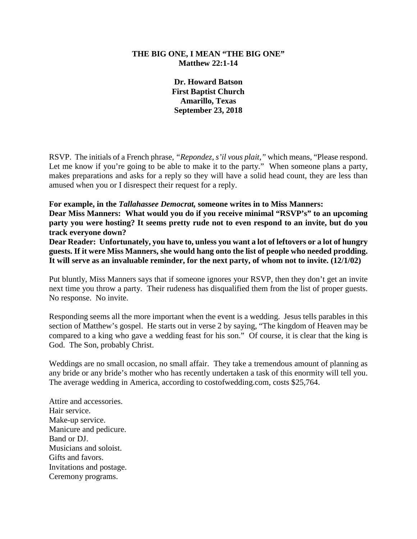## **THE BIG ONE, I MEAN "THE BIG ONE" Matthew 22:1-14**

**Dr. Howard Batson First Baptist Church Amarillo, Texas September 23, 2018**

RSVP. The initials of a French phrase, *"Repondez, s'il vous plait,"* which means, "Please respond. Let me know if you're going to be able to make it to the party." When someone plans a party, makes preparations and asks for a reply so they will have a solid head count, they are less than amused when you or I disrespect their request for a reply.

#### **For example, in the** *Tallahassee Democrat,* **someone writes in to Miss Manners:**

**Dear Miss Manners: What would you do if you receive minimal "RSVP's" to an upcoming party you were hosting? It seems pretty rude not to even respond to an invite, but do you track everyone down?**

**Dear Reader: Unfortunately, you have to, unless you want a lot of leftovers or a lot of hungry guests. If it were Miss Manners, she would hang onto the list of people who needed prodding. It will serve as an invaluable reminder, for the next party, of whom not to invite. (12/1/02)**

Put bluntly, Miss Manners says that if someone ignores your RSVP, then they don't get an invite next time you throw a party. Their rudeness has disqualified them from the list of proper guests. No response. No invite.

Responding seems all the more important when the event is a wedding. Jesus tells parables in this section of Matthew's gospel. He starts out in verse 2 by saying, "The kingdom of Heaven may be compared to a king who gave a wedding feast for his son." Of course, it is clear that the king is God. The Son, probably Christ.

Weddings are no small occasion, no small affair. They take a tremendous amount of planning as any bride or any bride's mother who has recently undertaken a task of this enormity will tell you. The average wedding in America, according to costofwedding.com, costs \$25,764.

Attire and accessories. Hair service. Make-up service. Manicure and pedicure. Band or DJ. Musicians and soloist. Gifts and favors. Invitations and postage. Ceremony programs.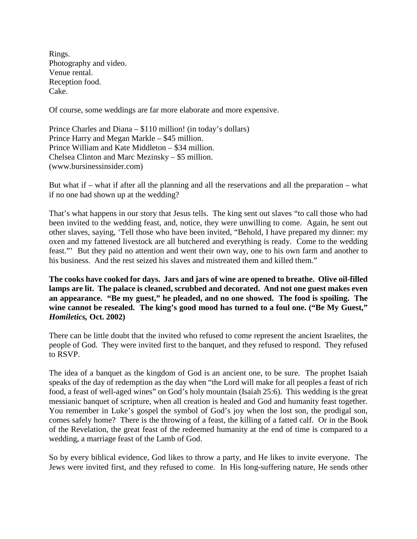Rings. Photography and video. Venue rental. Reception food. Cake.

Of course, some weddings are far more elaborate and more expensive.

Prince Charles and Diana – \$110 million! (in today's dollars) Prince Harry and Megan Markle – \$45 million. Prince William and Kate Middleton – \$34 million. Chelsea Clinton and Marc Mezinsky – \$5 million. (www.bursinessinsider.com)

But what if – what if after all the planning and all the reservations and all the preparation – what if no one had shown up at the wedding?

That's what happens in our story that Jesus tells. The king sent out slaves "to call those who had been invited to the wedding feast, and, notice, they were unwilling to come. Again, he sent out other slaves, saying, 'Tell those who have been invited, "Behold, I have prepared my dinner: my oxen and my fattened livestock are all butchered and everything is ready. Come to the wedding feast."' But they paid no attention and went their own way, one to his own farm and another to his business. And the rest seized his slaves and mistreated them and killed them."

**The cooks have cooked for days. Jars and jars of wine are opened to breathe. Olive oil-filled lamps are lit. The palace is cleaned, scrubbed and decorated. And not one guest makes even an appearance. "Be my guest," he pleaded, and no one showed. The food is spoiling. The wine cannot be resealed. The king's good mood has turned to a foul one. ("Be My Guest,"**  *Homiletics,* **Oct. 2002)**

There can be little doubt that the invited who refused to come represent the ancient Israelites, the people of God. They were invited first to the banquet, and they refused to respond. They refused to RSVP.

The idea of a banquet as the kingdom of God is an ancient one, to be sure. The prophet Isaiah speaks of the day of redemption as the day when "the Lord will make for all peoples a feast of rich food, a feast of well-aged wines" on God's holy mountain (Isaiah 25:6). This wedding is the great messianic banquet of scripture, when all creation is healed and God and humanity feast together. You remember in Luke's gospel the symbol of God's joy when the lost son, the prodigal son, comes safely home? There is the throwing of a feast, the killing of a fatted calf. Or in the Book of the Revelation, the great feast of the redeemed humanity at the end of time is compared to a wedding, a marriage feast of the Lamb of God.

So by every biblical evidence, God likes to throw a party, and He likes to invite everyone. The Jews were invited first, and they refused to come. In His long-suffering nature, He sends other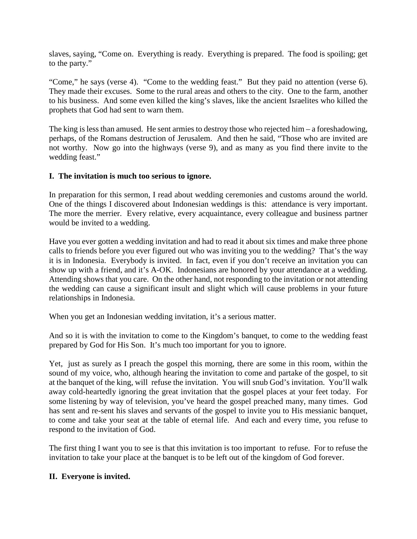slaves, saying, "Come on. Everything is ready. Everything is prepared. The food is spoiling; get to the party."

"Come," he says (verse 4). "Come to the wedding feast." But they paid no attention (verse 6). They made their excuses. Some to the rural areas and others to the city. One to the farm, another to his business. And some even killed the king's slaves, like the ancient Israelites who killed the prophets that God had sent to warn them.

The king is less than amused. He sent armies to destroy those who rejected him – a foreshadowing, perhaps, of the Romans destruction of Jerusalem. And then he said, "Those who are invited are not worthy. Now go into the highways (verse 9), and as many as you find there invite to the wedding feast."

# **I. The invitation is much too serious to ignore.**

In preparation for this sermon, I read about wedding ceremonies and customs around the world. One of the things I discovered about Indonesian weddings is this: attendance is very important. The more the merrier. Every relative, every acquaintance, every colleague and business partner would be invited to a wedding.

Have you ever gotten a wedding invitation and had to read it about six times and make three phone calls to friends before you ever figured out who was inviting you to the wedding? That's the way it is in Indonesia. Everybody is invited. In fact, even if you don't receive an invitation you can show up with a friend, and it's A-OK. Indonesians are honored by your attendance at a wedding. Attending shows that you care. On the other hand, not responding to the invitation or not attending the wedding can cause a significant insult and slight which will cause problems in your future relationships in Indonesia.

When you get an Indonesian wedding invitation, it's a serious matter.

And so it is with the invitation to come to the Kingdom's banquet, to come to the wedding feast prepared by God for His Son. It's much too important for you to ignore.

Yet, just as surely as I preach the gospel this morning, there are some in this room, within the sound of my voice, who, although hearing the invitation to come and partake of the gospel, to sit at the banquet of the king, will refuse the invitation. You will snub God's invitation. You'll walk away cold-heartedly ignoring the great invitation that the gospel places at your feet today. For some listening by way of television, you've heard the gospel preached many, many times. God has sent and re-sent his slaves and servants of the gospel to invite you to His messianic banquet, to come and take your seat at the table of eternal life. And each and every time, you refuse to respond to the invitation of God.

The first thing I want you to see is that this invitation is too important to refuse. For to refuse the invitation to take your place at the banquet is to be left out of the kingdom of God forever.

### **II. Everyone is invited.**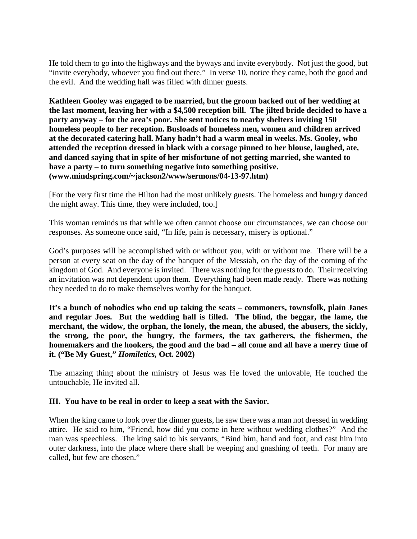He told them to go into the highways and the byways and invite everybody. Not just the good, but "invite everybody, whoever you find out there." In verse 10, notice they came, both the good and the evil. And the wedding hall was filled with dinner guests.

**Kathleen Gooley was engaged to be married, but the groom backed out of her wedding at the last moment, leaving her with a \$4,500 reception bill. The jilted bride decided to have a party anyway – for the area's poor. She sent notices to nearby shelters inviting 150 homeless people to her reception. Busloads of homeless men, women and children arrived at the decorated catering hall. Many hadn't had a warm meal in weeks. Ms. Gooley, who attended the reception dressed in black with a corsage pinned to her blouse, laughed, ate, and danced saying that in spite of her misfortune of not getting married, she wanted to have a party – to turn something negative into something positive. (www.mindspring.com/~jackson2/www/sermons/04-13-97.htm)**

[For the very first time the Hilton had the most unlikely guests. The homeless and hungry danced the night away. This time, they were included, too.]

This woman reminds us that while we often cannot choose our circumstances, we can choose our responses. As someone once said, "In life, pain is necessary, misery is optional."

God's purposes will be accomplished with or without you, with or without me. There will be a person at every seat on the day of the banquet of the Messiah, on the day of the coming of the kingdom of God. And everyone is invited. There was nothing for the guests to do. Their receiving an invitation was not dependent upon them. Everything had been made ready. There was nothing they needed to do to make themselves worthy for the banquet.

**It's a bunch of nobodies who end up taking the seats – commoners, townsfolk, plain Janes and regular Joes. But the wedding hall is filled. The blind, the beggar, the lame, the merchant, the widow, the orphan, the lonely, the mean, the abused, the abusers, the sickly, the strong, the poor, the hungry, the farmers, the tax gatherers, the fishermen, the homemakers and the hookers, the good and the bad – all come and all have a merry time of it. ("Be My Guest,"** *Homiletics,* **Oct. 2002)**

The amazing thing about the ministry of Jesus was He loved the unlovable, He touched the untouchable, He invited all.

### **III. You have to be real in order to keep a seat with the Savior.**

When the king came to look over the dinner guests, he saw there was a man not dressed in wedding attire. He said to him, "Friend, how did you come in here without wedding clothes?" And the man was speechless. The king said to his servants, "Bind him, hand and foot, and cast him into outer darkness, into the place where there shall be weeping and gnashing of teeth. For many are called, but few are chosen."